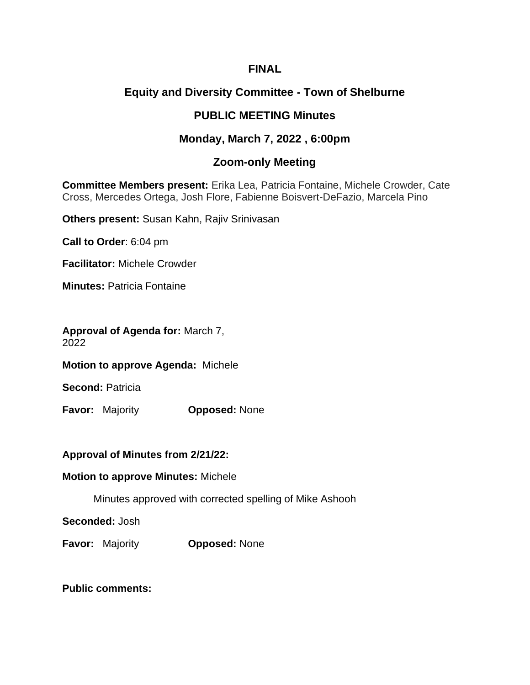## **FINAL**

# **Equity and Diversity Committee - Town of Shelburne**

# **PUBLIC MEETING Minutes**

## **Monday, March 7, 2022 , 6:00pm**

## **Zoom-only Meeting**

**Committee Members present:** Erika Lea, Patricia Fontaine, Michele Crowder, Cate Cross, Mercedes Ortega, Josh Flore, Fabienne Boisvert-DeFazio, Marcela Pino

**Others present:** Susan Kahn, Rajiv Srinivasan

**Call to Order**: 6:04 pm

**Facilitator:** Michele Crowder

**Minutes:** Patricia Fontaine

**Approval of Agenda for:** March 7, 2022

**Motion to approve Agenda:** Michele

**Second:** Patricia

**Favor:** Majority **Opposed:** None

**Approval of Minutes from 2/21/22:**

**Motion to approve Minutes:** Michele

Minutes approved with corrected spelling of Mike Ashooh

**Seconded:** Josh

**Favor:** Majority **Opposed:** None

**Public comments:**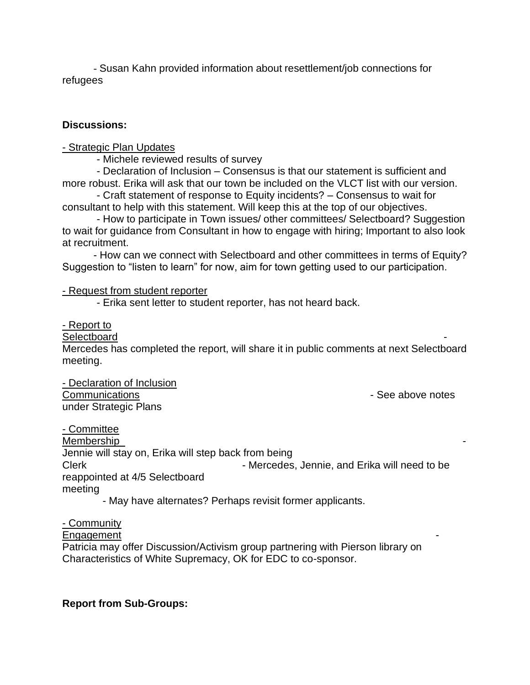- Susan Kahn provided information about resettlement/job connections for refugees

### **Discussions:**

- Strategic Plan Updates

- Michele reviewed results of survey

 - Declaration of Inclusion – Consensus is that our statement is sufficient and more robust. Erika will ask that our town be included on the VLCT list with our version.

 - Craft statement of response to Equity incidents? – Consensus to wait for consultant to help with this statement. Will keep this at the top of our objectives.

 - How to participate in Town issues/ other committees/ Selectboard? Suggestion to wait for guidance from Consultant in how to engage with hiring; Important to also look at recruitment.

- How can we connect with Selectboard and other committees in terms of Equity? Suggestion to "listen to learn" for now, aim for town getting used to our participation.

- Request from student reporter

- Erika sent letter to student reporter, has not heard back.

- Report to

#### Selectboard

Mercedes has completed the report, will share it in public comments at next Selectboard meeting.

- Declaration of Inclusion Communications **Communications**  $\sim$  See above notes under Strategic Plans

- Committee Membership Jennie will stay on, Erika will step back from being Clerk **Clerk** - Mercedes, Jennie, and Erika will need to be reappointed at 4/5 Selectboard meeting

- May have alternates? Perhaps revisit former applicants.

- Community

**Engagement** 

Patricia may offer Discussion/Activism group partnering with Pierson library on Characteristics of White Supremacy, OK for EDC to co-sponsor.

### **Report from Sub-Groups:**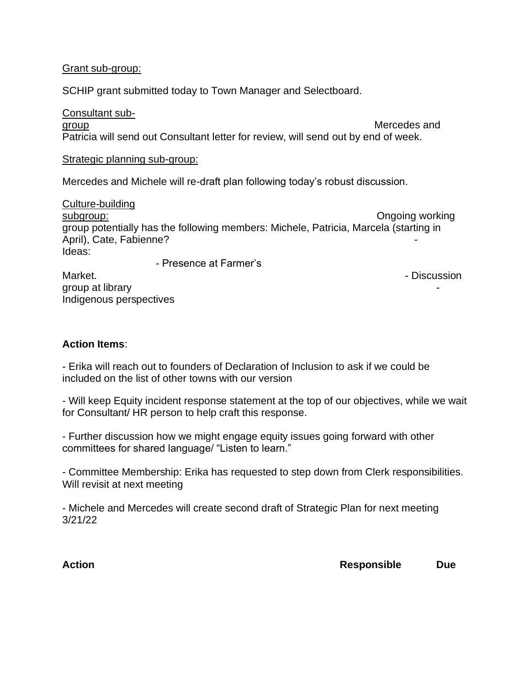#### Grant sub-group:

SCHIP grant submitted today to Town Manager and Selectboard.

Consultant subgroup and the state of the state of the state of the Mercedes and Mercedes and the state of the state of the state of the state of the state of the state of the state of the state of the state of the state of the state of Patricia will send out Consultant letter for review, will send out by end of week.

#### Strategic planning sub-group:

Mercedes and Michele will re-draft plan following today's robust discussion.

Culture-building subgroup: Ongoing working group potentially has the following members: Michele, Patricia, Marcela (starting in April), Cate, Fabienne? Ideas:

- Presence at Farmer's Market. **- Contract Studies and Studies and Studies and Studies and Studies and Studies and Studies and Studies and Studies and Studies and Studies and Studies and Studies and Studies and Studies and Studies and Studies an** group at library -

Indigenous perspectives

#### **Action Items**:

- Erika will reach out to founders of Declaration of Inclusion to ask if we could be included on the list of other towns with our version

- Will keep Equity incident response statement at the top of our objectives, while we wait for Consultant/ HR person to help craft this response.

- Further discussion how we might engage equity issues going forward with other committees for shared language/ "Listen to learn."

- Committee Membership: Erika has requested to step down from Clerk responsibilities. Will revisit at next meeting

- Michele and Mercedes will create second draft of Strategic Plan for next meeting 3/21/22

**Action Responsible Due**